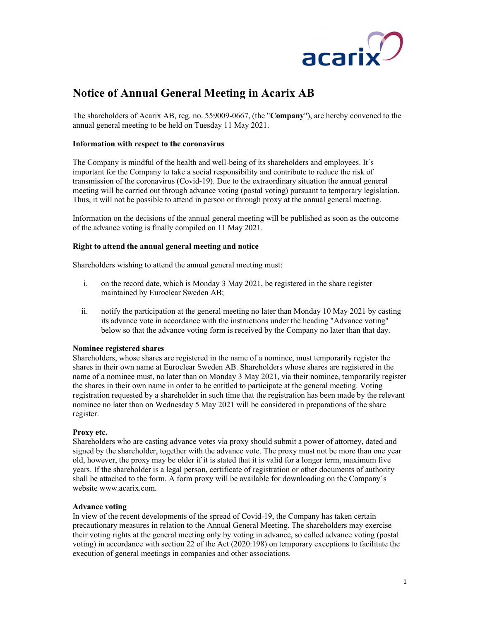

# Notice of Annual General Meeting in Acarix AB

The shareholders of Acarix AB, reg. no. 559009-0667, (the "Company"), are hereby convened to the annual general meeting to be held on Tuesday 11 May 2021.

# Information with respect to the coronavirus

The Company is mindful of the health and well-being of its shareholders and employees. It´s important for the Company to take a social responsibility and contribute to reduce the risk of transmission of the coronavirus (Covid-19). Due to the extraordinary situation the annual general meeting will be carried out through advance voting (postal voting) pursuant to temporary legislation. Thus, it will not be possible to attend in person or through proxy at the annual general meeting.

Information on the decisions of the annual general meeting will be published as soon as the outcome of the advance voting is finally compiled on 11 May 2021.

# Right to attend the annual general meeting and notice

Shareholders wishing to attend the annual general meeting must:

- i. on the record date, which is Monday 3 May 2021, be registered in the share register maintained by Euroclear Sweden AB;
- ii. notify the participation at the general meeting no later than Monday 10 May 2021 by casting its advance vote in accordance with the instructions under the heading "Advance voting" below so that the advance voting form is received by the Company no later than that day.

# Nominee registered shares

Shareholders, whose shares are registered in the name of a nominee, must temporarily register the shares in their own name at Euroclear Sweden AB. Shareholders whose shares are registered in the name of a nominee must, no later than on Monday 3 May 2021, via their nominee, temporarily register the shares in their own name in order to be entitled to participate at the general meeting. Voting registration requested by a shareholder in such time that the registration has been made by the relevant nominee no later than on Wednesday 5 May 2021 will be considered in preparations of the share register.

# Proxy etc.

Shareholders who are casting advance votes via proxy should submit a power of attorney, dated and signed by the shareholder, together with the advance vote. The proxy must not be more than one year old, however, the proxy may be older if it is stated that it is valid for a longer term, maximum five years. If the shareholder is a legal person, certificate of registration or other documents of authority shall be attached to the form. A form proxy will be available for downloading on the Company´s website www.acarix.com.

# Advance voting

In view of the recent developments of the spread of Covid-19, the Company has taken certain precautionary measures in relation to the Annual General Meeting. The shareholders may exercise their voting rights at the general meeting only by voting in advance, so called advance voting (postal voting) in accordance with section 22 of the Act (2020:198) on temporary exceptions to facilitate the execution of general meetings in companies and other associations.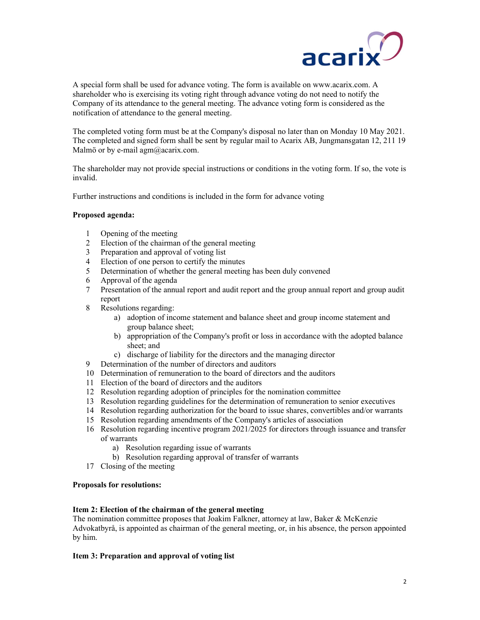

A special form shall be used for advance voting. The form is available on www.acarix.com. A shareholder who is exercising its voting right through advance voting do not need to notify the Company of its attendance to the general meeting. The advance voting form is considered as the notification of attendance to the general meeting.

The completed voting form must be at the Company's disposal no later than on Monday 10 May 2021. The completed and signed form shall be sent by regular mail to Acarix AB, Jungmansgatan 12, 211 19 Malmö or by e-mail  $\text{agm}(a)$  acarix.com.

The shareholder may not provide special instructions or conditions in the voting form. If so, the vote is invalid.

Further instructions and conditions is included in the form for advance voting

## Proposed agenda:

- 1 Opening of the meeting
- 2 Election of the chairman of the general meeting<br>3 Preparation and approval of voting list
- Preparation and approval of voting list
- 4 Election of one person to certify the minutes
- 5 Determination of whether the general meeting has been duly convened
- 6 Approval of the agenda
- 7 Presentation of the annual report and audit report and the group annual report and group audit report
- 8 Resolutions regarding:
	- a) adoption of income statement and balance sheet and group income statement and group balance sheet;
	- b) appropriation of the Company's profit or loss in accordance with the adopted balance sheet; and
	- c) discharge of liability for the directors and the managing director
- 9 Determination of the number of directors and auditors
- 10 Determination of remuneration to the board of directors and the auditors
- 11 Election of the board of directors and the auditors
- 12 Resolution regarding adoption of principles for the nomination committee
- 13 Resolution regarding guidelines for the determination of remuneration to senior executives
- 14 Resolution regarding authorization for the board to issue shares, convertibles and/or warrants
- 15 Resolution regarding amendments of the Company's articles of association
- 16 Resolution regarding incentive program 2021/2025 for directors through issuance and transfer of warrants
	- a) Resolution regarding issue of warrants
	- b) Resolution regarding approval of transfer of warrants
- 17 Closing of the meeting

#### Proposals for resolutions:

## Item 2: Election of the chairman of the general meeting

The nomination committee proposes that Joakim Falkner, attorney at law, Baker & McKenzie Advokatbyrå, is appointed as chairman of the general meeting, or, in his absence, the person appointed by him.

#### Item 3: Preparation and approval of voting list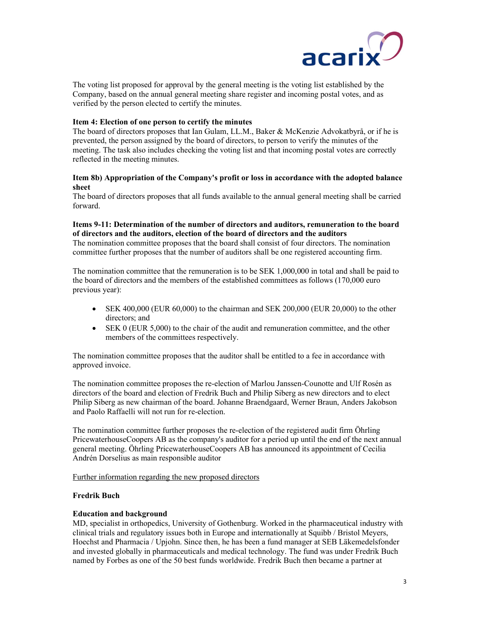

The voting list proposed for approval by the general meeting is the voting list established by the Company, based on the annual general meeting share register and incoming postal votes, and as verified by the person elected to certify the minutes.

# Item 4: Election of one person to certify the minutes

The board of directors proposes that Ian Gulam, LL.M., Baker & McKenzie Advokatbyrå, or if he is prevented, the person assigned by the board of directors, to person to verify the minutes of the meeting. The task also includes checking the voting list and that incoming postal votes are correctly reflected in the meeting minutes.

# Item 8b) Appropriation of the Company's profit or loss in accordance with the adopted balance sheet

The board of directors proposes that all funds available to the annual general meeting shall be carried forward.

# Items 9-11: Determination of the number of directors and auditors, remuneration to the board of directors and the auditors, election of the board of directors and the auditors

The nomination committee proposes that the board shall consist of four directors. The nomination committee further proposes that the number of auditors shall be one registered accounting firm.

The nomination committee that the remuneration is to be SEK 1,000,000 in total and shall be paid to the board of directors and the members of the established committees as follows (170,000 euro previous year):

- $\bullet$  SEK 400,000 (EUR 60,000) to the chairman and SEK 200,000 (EUR 20,000) to the other directors; and
- SEK 0 (EUR 5,000) to the chair of the audit and remuneration committee, and the other members of the committees respectively.

The nomination committee proposes that the auditor shall be entitled to a fee in accordance with approved invoice.

The nomination committee proposes the re-election of Marlou Janssen-Counotte and Ulf Rosén as directors of the board and election of Fredrik Buch and Philip Siberg as new directors and to elect Philip Siberg as new chairman of the board. Johanne Braendgaard, Werner Braun, Anders Jakobson and Paolo Raffaelli will not run for re-election.

The nomination committee further proposes the re-election of the registered audit firm Öhrling PricewaterhouseCoopers AB as the company's auditor for a period up until the end of the next annual general meeting. Öhrling PricewaterhouseCoopers AB has announced its appointment of Cecilia Andrén Dorselius as main responsible auditor

Further information regarding the new proposed directors

# Fredrik Buch

#### Education and background

MD, specialist in orthopedics, University of Gothenburg. Worked in the pharmaceutical industry with clinical trials and regulatory issues both in Europe and internationally at Squibb / Bristol Meyers, Hoechst and Pharmacia / Upjohn. Since then, he has been a fund manager at SEB Läkemedelsfonder and invested globally in pharmaceuticals and medical technology. The fund was under Fredrik Buch named by Forbes as one of the 50 best funds worldwide. Fredrik Buch then became a partner at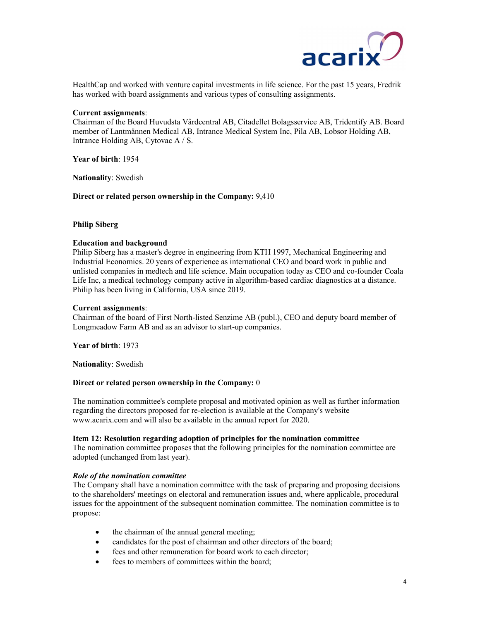

HealthCap and worked with venture capital investments in life science. For the past 15 years, Fredrik has worked with board assignments and various types of consulting assignments.

## Current assignments:

Chairman of the Board Huvudsta Vårdcentral AB, Citadellet Bolagsservice AB, Tridentify AB. Board member of Lantmännen Medical AB, Intrance Medical System Inc, Pila AB, Lobsor Holding AB, Intrance Holding AB, Cytovac A / S.

Year of birth: 1954

Nationality: Swedish

Direct or related person ownership in the Company: 9,410

## Philip Siberg

## Education and background

Philip Siberg has a master's degree in engineering from KTH 1997, Mechanical Engineering and Industrial Economics. 20 years of experience as international CEO and board work in public and unlisted companies in medtech and life science. Main occupation today as CEO and co-founder Coala Life Inc, a medical technology company active in algorithm-based cardiac diagnostics at a distance. Philip has been living in California, USA since 2019.

### Current assignments:

Chairman of the board of First North-listed Senzime AB (publ.), CEO and deputy board member of Longmeadow Farm AB and as an advisor to start-up companies.

Year of birth: 1973

Nationality: Swedish

## Direct or related person ownership in the Company: 0

The nomination committee's complete proposal and motivated opinion as well as further information regarding the directors proposed for re-election is available at the Company's website www.acarix.com and will also be available in the annual report for 2020.

#### Item 12: Resolution regarding adoption of principles for the nomination committee

The nomination committee proposes that the following principles for the nomination committee are adopted (unchanged from last year).

### Role of the nomination committee

The Company shall have a nomination committee with the task of preparing and proposing decisions to the shareholders' meetings on electoral and remuneration issues and, where applicable, procedural issues for the appointment of the subsequent nomination committee. The nomination committee is to propose:

- the chairman of the annual general meeting;
- candidates for the post of chairman and other directors of the board;
- fees and other remuneration for board work to each director;
- fees to members of committees within the board;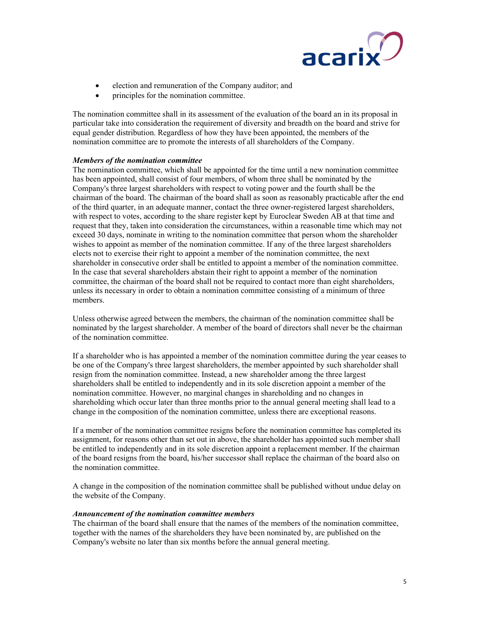

- election and remuneration of the Company auditor; and
- principles for the nomination committee.

The nomination committee shall in its assessment of the evaluation of the board an in its proposal in particular take into consideration the requirement of diversity and breadth on the board and strive for equal gender distribution. Regardless of how they have been appointed, the members of the nomination committee are to promote the interests of all shareholders of the Company.

# Members of the nomination committee

The nomination committee, which shall be appointed for the time until a new nomination committee has been appointed, shall consist of four members, of whom three shall be nominated by the Company's three largest shareholders with respect to voting power and the fourth shall be the chairman of the board. The chairman of the board shall as soon as reasonably practicable after the end of the third quarter, in an adequate manner, contact the three owner-registered largest shareholders, with respect to votes, according to the share register kept by Euroclear Sweden AB at that time and request that they, taken into consideration the circumstances, within a reasonable time which may not exceed 30 days, nominate in writing to the nomination committee that person whom the shareholder wishes to appoint as member of the nomination committee. If any of the three largest shareholders elects not to exercise their right to appoint a member of the nomination committee, the next shareholder in consecutive order shall be entitled to appoint a member of the nomination committee. In the case that several shareholders abstain their right to appoint a member of the nomination committee, the chairman of the board shall not be required to contact more than eight shareholders, unless its necessary in order to obtain a nomination committee consisting of a minimum of three members.

Unless otherwise agreed between the members, the chairman of the nomination committee shall be nominated by the largest shareholder. A member of the board of directors shall never be the chairman of the nomination committee.

If a shareholder who is has appointed a member of the nomination committee during the year ceases to be one of the Company's three largest shareholders, the member appointed by such shareholder shall resign from the nomination committee. Instead, a new shareholder among the three largest shareholders shall be entitled to independently and in its sole discretion appoint a member of the nomination committee. However, no marginal changes in shareholding and no changes in shareholding which occur later than three months prior to the annual general meeting shall lead to a change in the composition of the nomination committee, unless there are exceptional reasons.

If a member of the nomination committee resigns before the nomination committee has completed its assignment, for reasons other than set out in above, the shareholder has appointed such member shall be entitled to independently and in its sole discretion appoint a replacement member. If the chairman of the board resigns from the board, his/her successor shall replace the chairman of the board also on the nomination committee.

A change in the composition of the nomination committee shall be published without undue delay on the website of the Company.

#### Announcement of the nomination committee members

The chairman of the board shall ensure that the names of the members of the nomination committee, together with the names of the shareholders they have been nominated by, are published on the Company's website no later than six months before the annual general meeting.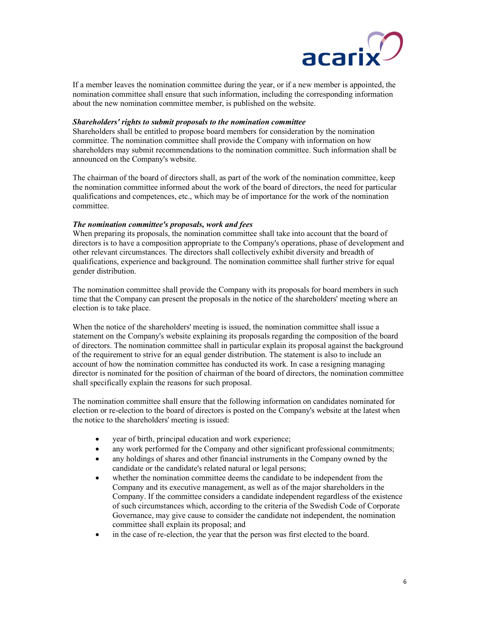

If a member leaves the nomination committee during the year, or if a new member is appointed, the nomination committee shall ensure that such information, including the corresponding information about the new nomination committee member, is published on the website.

### Shareholders' rights to submit proposals to the nomination committee

Shareholders shall be entitled to propose board members for consideration by the nomination committee. The nomination committee shall provide the Company with information on how shareholders may submit recommendations to the nomination committee. Such information shall be announced on the Company's website.

The chairman of the board of directors shall, as part of the work of the nomination committee, keep the nomination committee informed about the work of the board of directors, the need for particular qualifications and competences, etc., which may be of importance for the work of the nomination committee.

## The nomination committee's proposals, work and fees

When preparing its proposals, the nomination committee shall take into account that the board of directors is to have a composition appropriate to the Company's operations, phase of development and other relevant circumstances. The directors shall collectively exhibit diversity and breadth of qualifications, experience and background. The nomination committee shall further strive for equal gender distribution.

The nomination committee shall provide the Company with its proposals for board members in such time that the Company can present the proposals in the notice of the shareholders' meeting where an election is to take place.

When the notice of the shareholders' meeting is issued, the nomination committee shall issue a statement on the Company's website explaining its proposals regarding the composition of the board of directors. The nomination committee shall in particular explain its proposal against the background of the requirement to strive for an equal gender distribution. The statement is also to include an account of how the nomination committee has conducted its work. In case a resigning managing director is nominated for the position of chairman of the board of directors, the nomination committee shall specifically explain the reasons for such proposal.

The nomination committee shall ensure that the following information on candidates nominated for election or re-election to the board of directors is posted on the Company's website at the latest when the notice to the shareholders' meeting is issued:

- year of birth, principal education and work experience;
- any work performed for the Company and other significant professional commitments;
- any holdings of shares and other financial instruments in the Company owned by the candidate or the candidate's related natural or legal persons;
- whether the nomination committee deems the candidate to be independent from the Company and its executive management, as well as of the major shareholders in the Company. If the committee considers a candidate independent regardless of the existence of such circumstances which, according to the criteria of the Swedish Code of Corporate Governance, may give cause to consider the candidate not independent, the nomination committee shall explain its proposal; and
- in the case of re-election, the year that the person was first elected to the board.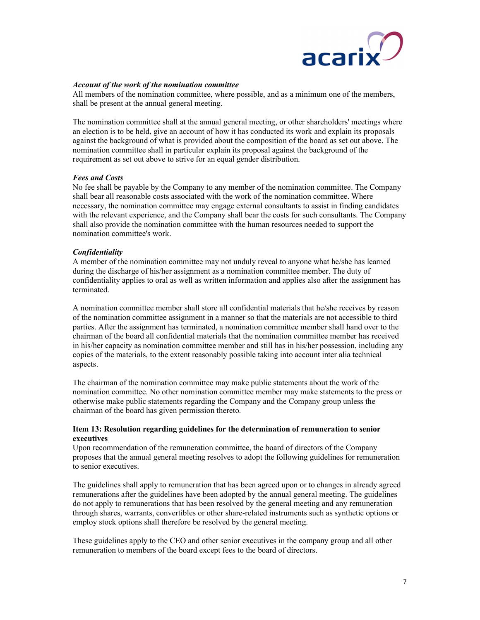

# Account of the work of the nomination committee

All members of the nomination committee, where possible, and as a minimum one of the members, shall be present at the annual general meeting.

The nomination committee shall at the annual general meeting, or other shareholders' meetings where an election is to be held, give an account of how it has conducted its work and explain its proposals against the background of what is provided about the composition of the board as set out above. The nomination committee shall in particular explain its proposal against the background of the requirement as set out above to strive for an equal gender distribution.

# Fees and Costs

No fee shall be payable by the Company to any member of the nomination committee. The Company shall bear all reasonable costs associated with the work of the nomination committee. Where necessary, the nomination committee may engage external consultants to assist in finding candidates with the relevant experience, and the Company shall bear the costs for such consultants. The Company shall also provide the nomination committee with the human resources needed to support the nomination committee's work.

# Confidentiality

A member of the nomination committee may not unduly reveal to anyone what he/she has learned during the discharge of his/her assignment as a nomination committee member. The duty of confidentiality applies to oral as well as written information and applies also after the assignment has terminated.

A nomination committee member shall store all confidential materials that he/she receives by reason of the nomination committee assignment in a manner so that the materials are not accessible to third parties. After the assignment has terminated, a nomination committee member shall hand over to the chairman of the board all confidential materials that the nomination committee member has received in his/her capacity as nomination committee member and still has in his/her possession, including any copies of the materials, to the extent reasonably possible taking into account inter alia technical aspects.

The chairman of the nomination committee may make public statements about the work of the nomination committee. No other nomination committee member may make statements to the press or otherwise make public statements regarding the Company and the Company group unless the chairman of the board has given permission thereto.

## Item 13: Resolution regarding guidelines for the determination of remuneration to senior executives

Upon recommendation of the remuneration committee, the board of directors of the Company proposes that the annual general meeting resolves to adopt the following guidelines for remuneration to senior executives.

The guidelines shall apply to remuneration that has been agreed upon or to changes in already agreed remunerations after the guidelines have been adopted by the annual general meeting. The guidelines do not apply to remunerations that has been resolved by the general meeting and any remuneration through shares, warrants, convertibles or other share-related instruments such as synthetic options or employ stock options shall therefore be resolved by the general meeting.

These guidelines apply to the CEO and other senior executives in the company group and all other remuneration to members of the board except fees to the board of directors.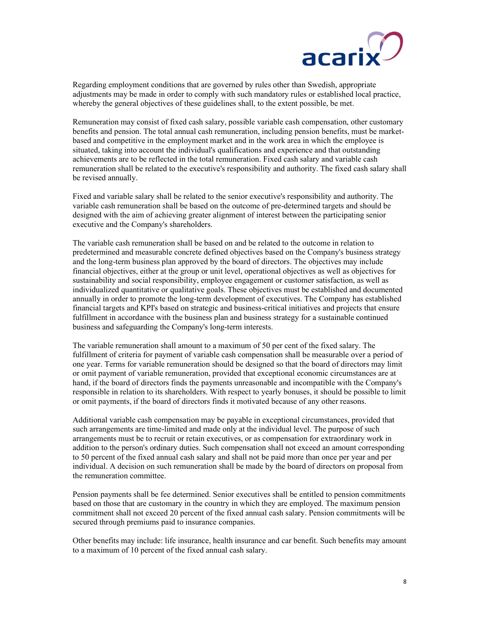

Regarding employment conditions that are governed by rules other than Swedish, appropriate adjustments may be made in order to comply with such mandatory rules or established local practice, whereby the general objectives of these guidelines shall, to the extent possible, be met.

Remuneration may consist of fixed cash salary, possible variable cash compensation, other customary benefits and pension. The total annual cash remuneration, including pension benefits, must be marketbased and competitive in the employment market and in the work area in which the employee is situated, taking into account the individual's qualifications and experience and that outstanding achievements are to be reflected in the total remuneration. Fixed cash salary and variable cash remuneration shall be related to the executive's responsibility and authority. The fixed cash salary shall be revised annually.

Fixed and variable salary shall be related to the senior executive's responsibility and authority. The variable cash remuneration shall be based on the outcome of pre-determined targets and should be designed with the aim of achieving greater alignment of interest between the participating senior executive and the Company's shareholders.

The variable cash remuneration shall be based on and be related to the outcome in relation to predetermined and measurable concrete defined objectives based on the Company's business strategy and the long-term business plan approved by the board of directors. The objectives may include financial objectives, either at the group or unit level, operational objectives as well as objectives for sustainability and social responsibility, employee engagement or customer satisfaction, as well as individualized quantitative or qualitative goals. These objectives must be established and documented annually in order to promote the long-term development of executives. The Company has established financial targets and KPI's based on strategic and business-critical initiatives and projects that ensure fulfillment in accordance with the business plan and business strategy for a sustainable continued business and safeguarding the Company's long-term interests.

The variable remuneration shall amount to a maximum of 50 per cent of the fixed salary. The fulfillment of criteria for payment of variable cash compensation shall be measurable over a period of one year. Terms for variable remuneration should be designed so that the board of directors may limit or omit payment of variable remuneration, provided that exceptional economic circumstances are at hand, if the board of directors finds the payments unreasonable and incompatible with the Company's responsible in relation to its shareholders. With respect to yearly bonuses, it should be possible to limit or omit payments, if the board of directors finds it motivated because of any other reasons.

Additional variable cash compensation may be payable in exceptional circumstances, provided that such arrangements are time-limited and made only at the individual level. The purpose of such arrangements must be to recruit or retain executives, or as compensation for extraordinary work in addition to the person's ordinary duties. Such compensation shall not exceed an amount corresponding to 50 percent of the fixed annual cash salary and shall not be paid more than once per year and per individual. A decision on such remuneration shall be made by the board of directors on proposal from the remuneration committee.

Pension payments shall be fee determined. Senior executives shall be entitled to pension commitments based on those that are customary in the country in which they are employed. The maximum pension commitment shall not exceed 20 percent of the fixed annual cash salary. Pension commitments will be secured through premiums paid to insurance companies.

Other benefits may include: life insurance, health insurance and car benefit. Such benefits may amount to a maximum of 10 percent of the fixed annual cash salary.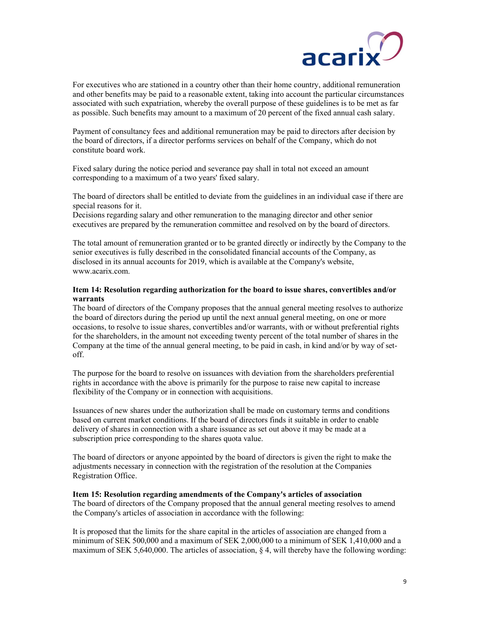

For executives who are stationed in a country other than their home country, additional remuneration and other benefits may be paid to a reasonable extent, taking into account the particular circumstances associated with such expatriation, whereby the overall purpose of these guidelines is to be met as far as possible. Such benefits may amount to a maximum of 20 percent of the fixed annual cash salary.

Payment of consultancy fees and additional remuneration may be paid to directors after decision by the board of directors, if a director performs services on behalf of the Company, which do not constitute board work.

Fixed salary during the notice period and severance pay shall in total not exceed an amount corresponding to a maximum of a two years' fixed salary.

The board of directors shall be entitled to deviate from the guidelines in an individual case if there are special reasons for it.

Decisions regarding salary and other remuneration to the managing director and other senior executives are prepared by the remuneration committee and resolved on by the board of directors.

The total amount of remuneration granted or to be granted directly or indirectly by the Company to the senior executives is fully described in the consolidated financial accounts of the Company, as disclosed in its annual accounts for 2019, which is available at the Company's website, www.acarix.com.

# Item 14: Resolution regarding authorization for the board to issue shares, convertibles and/or warrants

The board of directors of the Company proposes that the annual general meeting resolves to authorize the board of directors during the period up until the next annual general meeting, on one or more occasions, to resolve to issue shares, convertibles and/or warrants, with or without preferential rights for the shareholders, in the amount not exceeding twenty percent of the total number of shares in the Company at the time of the annual general meeting, to be paid in cash, in kind and/or by way of setoff.

The purpose for the board to resolve on issuances with deviation from the shareholders preferential rights in accordance with the above is primarily for the purpose to raise new capital to increase flexibility of the Company or in connection with acquisitions.

Issuances of new shares under the authorization shall be made on customary terms and conditions based on current market conditions. If the board of directors finds it suitable in order to enable delivery of shares in connection with a share issuance as set out above it may be made at a subscription price corresponding to the shares quota value.

The board of directors or anyone appointed by the board of directors is given the right to make the adjustments necessary in connection with the registration of the resolution at the Companies Registration Office.

#### Item 15: Resolution regarding amendments of the Company's articles of association

The board of directors of the Company proposed that the annual general meeting resolves to amend the Company's articles of association in accordance with the following:

It is proposed that the limits for the share capital in the articles of association are changed from a minimum of SEK 500,000 and a maximum of SEK 2,000,000 to a minimum of SEK 1,410,000 and a maximum of SEK 5,640,000. The articles of association,  $\S$  4, will thereby have the following wording: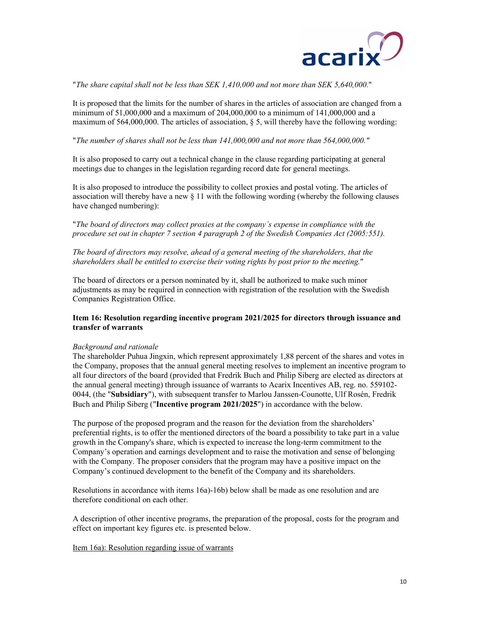

"The share capital shall not be less than SEK 1,410,000 and not more than SEK 5,640,000."

It is proposed that the limits for the number of shares in the articles of association are changed from a minimum of 51,000,000 and a maximum of 204,000,000 to a minimum of 141,000,000 and a maximum of 564,000,000. The articles of association,  $\S$  5, will thereby have the following wording: "The number of shares shall not be less than 141,000,000 and not more than 564,000,000."

It is also proposed to carry out a technical change in the clause regarding participating at general meetings due to changes in the legislation regarding record date for general meetings.

It is also proposed to introduce the possibility to collect proxies and postal voting. The articles of association will thereby have a new  $\S$  11 with the following wording (whereby the following clauses have changed numbering):<br>"The board of directors may collect proxies at the company's expense in compliance with the

procedure set out in chapter 7 section 4 paragraph 2 of the Swedish Companies Act (2005:551).

The board of directors may resolve, ahead of a general meeting of the shareholders, that the shareholders shall be entitled to exercise their voting rights by post prior to the meeting."

The board of directors or a person nominated by it, shall be authorized to make such minor adjustments as may be required in connection with registration of the resolution with the Swedish Companies Registration Office.

# Item 16: Resolution regarding incentive program 2021/2025 for directors through issuance and transfer of warrants

#### Background and rationale

The shareholder Puhua Jingxin, which represent approximately 1,88 percent of the shares and votes in the Company, proposes that the annual general meeting resolves to implement an incentive program to all four directors of the board (provided that Fredrik Buch and Philip Siberg are elected as directors at the annual general meeting) through issuance of warrants to Acarix Incentives AB, reg. no. 559102- 0044, (the "Subsidiary"), with subsequent transfer to Marlou Janssen-Counotte, Ulf Rosén, Fredrik Buch and Philip Siberg ("Incentive program 2021/2025") in accordance with the below.

The purpose of the proposed program and the reason for the deviation from the shareholders' preferential rights, is to offer the mentioned directors of the board a possibility to take part in a value growth in the Company's share, which is expected to increase the long-term commitment to the Company's operation and earnings development and to raise the motivation and sense of belonging with the Company. The proposer considers that the program may have a positive impact on the Company's continued development to the benefit of the Company and its shareholders.

Resolutions in accordance with items 16a)-16b) below shall be made as one resolution and are therefore conditional on each other.

A description of other incentive programs, the preparation of the proposal, costs for the program and effect on important key figures etc. is presented below.

#### Item 16a): Resolution regarding issue of warrants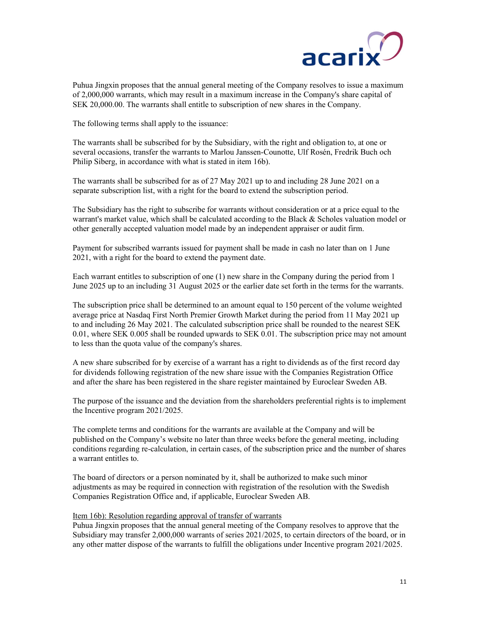

Puhua Jingxin proposes that the annual general meeting of the Company resolves to issue a maximum of 2,000,000 warrants, which may result in a maximum increase in the Company's share capital of SEK 20,000.00. The warrants shall entitle to subscription of new shares in the Company.

The following terms shall apply to the issuance:

The warrants shall be subscribed for by the Subsidiary, with the right and obligation to, at one or several occasions, transfer the warrants to Marlou Janssen-Counotte, Ulf Rosén, Fredrik Buch och Philip Siberg, in accordance with what is stated in item 16b).

The warrants shall be subscribed for as of 27 May 2021 up to and including 28 June 2021 on a separate subscription list, with a right for the board to extend the subscription period.

The Subsidiary has the right to subscribe for warrants without consideration or at a price equal to the warrant's market value, which shall be calculated according to the Black & Scholes valuation model or other generally accepted valuation model made by an independent appraiser or audit firm.

Payment for subscribed warrants issued for payment shall be made in cash no later than on 1 June 2021, with a right for the board to extend the payment date.

Each warrant entitles to subscription of one (1) new share in the Company during the period from 1 June 2025 up to an including 31 August 2025 or the earlier date set forth in the terms for the warrants.

The subscription price shall be determined to an amount equal to 150 percent of the volume weighted average price at Nasdaq First North Premier Growth Market during the period from 11 May 2021 up to and including 26 May 2021. The calculated subscription price shall be rounded to the nearest SEK 0.01, where SEK 0.005 shall be rounded upwards to SEK 0.01. The subscription price may not amount to less than the quota value of the company's shares.

A new share subscribed for by exercise of a warrant has a right to dividends as of the first record day for dividends following registration of the new share issue with the Companies Registration Office and after the share has been registered in the share register maintained by Euroclear Sweden AB.

The purpose of the issuance and the deviation from the shareholders preferential rights is to implement the Incentive program 2021/2025.

The complete terms and conditions for the warrants are available at the Company and will be published on the Company's website no later than three weeks before the general meeting, including conditions regarding re-calculation, in certain cases, of the subscription price and the number of shares a warrant entitles to.

The board of directors or a person nominated by it, shall be authorized to make such minor adjustments as may be required in connection with registration of the resolution with the Swedish Companies Registration Office and, if applicable, Euroclear Sweden AB.

Item 16b): Resolution regarding approval of transfer of warrants

Puhua Jingxin proposes that the annual general meeting of the Company resolves to approve that the Subsidiary may transfer 2,000,000 warrants of series 2021/2025, to certain directors of the board, or in any other matter dispose of the warrants to fulfill the obligations under Incentive program 2021/2025.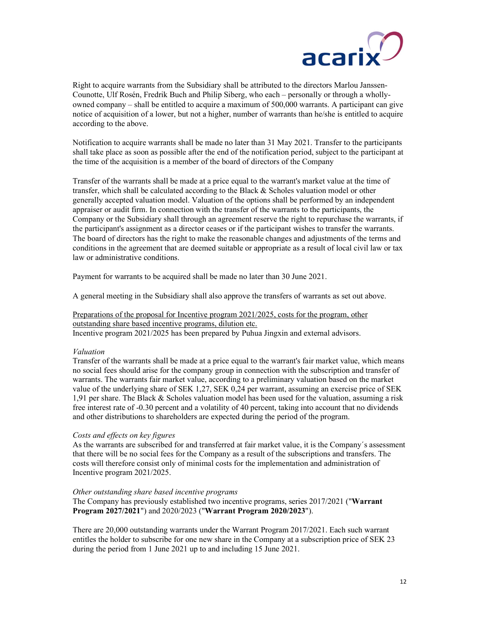

Right to acquire warrants from the Subsidiary shall be attributed to the directors Marlou Janssen-Counotte, Ulf Rosén, Fredrik Buch and Philip Siberg, who each – personally or through a whollyowned company – shall be entitled to acquire a maximum of 500,000 warrants. A participant can give notice of acquisition of a lower, but not a higher, number of warrants than he/she is entitled to acquire according to the above.

Notification to acquire warrants shall be made no later than 31 May 2021. Transfer to the participants shall take place as soon as possible after the end of the notification period, subject to the participant at the time of the acquisition is a member of the board of directors of the Company

Transfer of the warrants shall be made at a price equal to the warrant's market value at the time of transfer, which shall be calculated according to the Black & Scholes valuation model or other generally accepted valuation model. Valuation of the options shall be performed by an independent appraiser or audit firm. In connection with the transfer of the warrants to the participants, the Company or the Subsidiary shall through an agreement reserve the right to repurchase the warrants, if the participant's assignment as a director ceases or if the participant wishes to transfer the warrants. The board of directors has the right to make the reasonable changes and adjustments of the terms and conditions in the agreement that are deemed suitable or appropriate as a result of local civil law or tax law or administrative conditions.

Payment for warrants to be acquired shall be made no later than 30 June 2021.

A general meeting in the Subsidiary shall also approve the transfers of warrants as set out above.

Preparations of the proposal for Incentive program 2021/2025, costs for the program, other outstanding share based incentive programs, dilution etc. Incentive program 2021/2025 has been prepared by Puhua Jingxin and external advisors.

# Valuation

Transfer of the warrants shall be made at a price equal to the warrant's fair market value, which means no social fees should arise for the company group in connection with the subscription and transfer of warrants. The warrants fair market value, according to a preliminary valuation based on the market value of the underlying share of SEK 1,27, SEK 0,24 per warrant, assuming an exercise price of SEK 1,91 per share. The Black & Scholes valuation model has been used for the valuation, assuming a risk free interest rate of -0.30 percent and a volatility of 40 percent, taking into account that no dividends and other distributions to shareholders are expected during the period of the program.

# Costs and effects on key figures

As the warrants are subscribed for and transferred at fair market value, it is the Company´s assessment that there will be no social fees for the Company as a result of the subscriptions and transfers. The costs will therefore consist only of minimal costs for the implementation and administration of Incentive program 2021/2025.

#### Other outstanding share based incentive programs

The Company has previously established two incentive programs, series 2017/2021 ("Warrant Program 2027/2021") and 2020/2023 ("Warrant Program 2020/2023").

There are 20,000 outstanding warrants under the Warrant Program 2017/2021. Each such warrant entitles the holder to subscribe for one new share in the Company at a subscription price of SEK 23 during the period from 1 June 2021 up to and including 15 June 2021.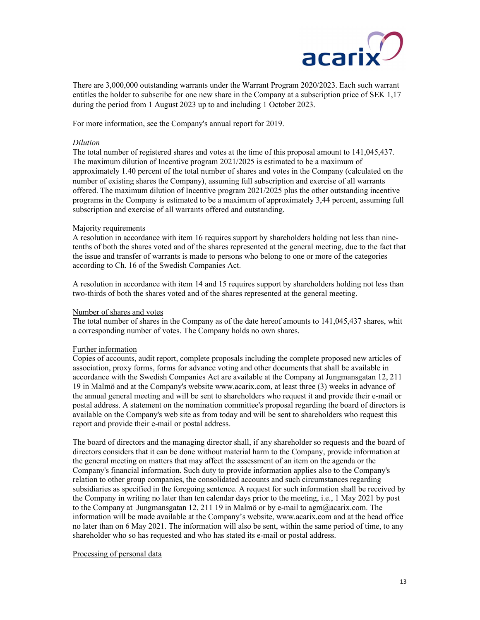

There are 3,000,000 outstanding warrants under the Warrant Program 2020/2023. Each such warrant entitles the holder to subscribe for one new share in the Company at a subscription price of SEK 1,17 during the period from 1 August 2023 up to and including 1 October 2023.

For more information, see the Company's annual report for 2019.

# Dilution

The total number of registered shares and votes at the time of this proposal amount to 141,045,437. The maximum dilution of Incentive program 2021/2025 is estimated to be a maximum of approximately 1.40 percent of the total number of shares and votes in the Company (calculated on the number of existing shares the Company), assuming full subscription and exercise of all warrants offered. The maximum dilution of Incentive program 2021/2025 plus the other outstanding incentive programs in the Company is estimated to be a maximum of approximately 3,44 percent, assuming full subscription and exercise of all warrants offered and outstanding.

## Majority requirements

A resolution in accordance with item 16 requires support by shareholders holding not less than ninetenths of both the shares voted and of the shares represented at the general meeting, due to the fact that the issue and transfer of warrants is made to persons who belong to one or more of the categories according to Ch. 16 of the Swedish Companies Act.

A resolution in accordance with item 14 and 15 requires support by shareholders holding not less than two-thirds of both the shares voted and of the shares represented at the general meeting.

### Number of shares and votes

The total number of shares in the Company as of the date hereof amounts to 141,045,437 shares, whit a corresponding number of votes. The Company holds no own shares.

# Further information

Copies of accounts, audit report, complete proposals including the complete proposed new articles of association, proxy forms, forms for advance voting and other documents that shall be available in accordance with the Swedish Companies Act are available at the Company at Jungmansgatan 12, 211 19 in Malmö and at the Company's website www.acarix.com, at least three (3) weeks in advance of the annual general meeting and will be sent to shareholders who request it and provide their e-mail or postal address. A statement on the nomination committee's proposal regarding the board of directors is available on the Company's web site as from today and will be sent to shareholders who request this report and provide their e-mail or postal address.

The board of directors and the managing director shall, if any shareholder so requests and the board of directors considers that it can be done without material harm to the Company, provide information at the general meeting on matters that may affect the assessment of an item on the agenda or the Company's financial information. Such duty to provide information applies also to the Company's relation to other group companies, the consolidated accounts and such circumstances regarding subsidiaries as specified in the foregoing sentence. A request for such information shall be received by the Company in writing no later than ten calendar days prior to the meeting, i.e., 1 May 2021 by post to the Company at Jungmansgatan 12, 211 19 in Malmö or by e-mail to agm@acarix.com. The information will be made available at the Company's website, www.acarix.com and at the head office no later than on 6 May 2021. The information will also be sent, within the same period of time, to any shareholder who so has requested and who has stated its e-mail or postal address.

#### Processing of personal data